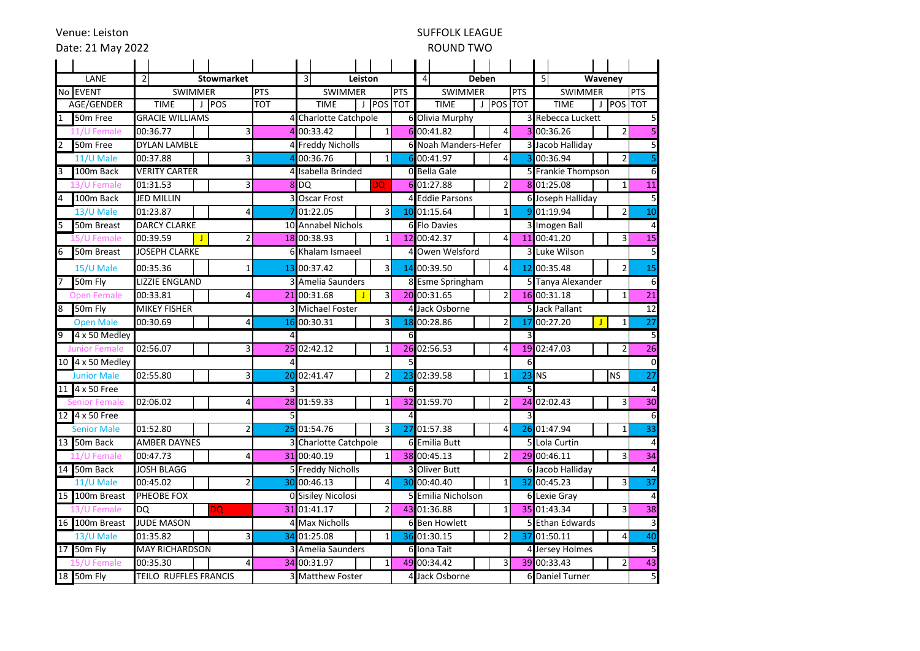Venue: Leiston

#### SUFFOLK LEAGUE ROUND TWO

| Date: 21 May 2022         |                        |                   | ROUND TWO      |                         |                         |                |                 |                    |                          |                                |                    |                            |                 |                                   |
|---------------------------|------------------------|-------------------|----------------|-------------------------|-------------------------|----------------|-----------------|--------------------|--------------------------|--------------------------------|--------------------|----------------------------|-----------------|-----------------------------------|
|                           |                        |                   |                |                         |                         |                |                 |                    |                          |                                |                    |                            |                 |                                   |
| LANE                      | $\overline{2}$         | <b>Stowmarket</b> |                | $\overline{3}$          | Leiston                 |                |                 |                    | 4<br>Deben               |                                |                    | 5<br>Waveney               |                 |                                   |
| No EVENT                  | <b>SWIMMER</b>         | <b>PTS</b>        |                |                         | <b>SWIMMER</b>          |                |                 |                    | <b>SWIMMER</b>           |                                | <b>PTS</b>         | <b>SWIMMER</b>             |                 | <b>PTS</b>                        |
| AGE/GENDER                | <b>TIME</b><br>J POS   |                   | <b>TOT</b>     |                         | <b>TIME</b>             | <b>POS TOT</b> |                 |                    | <b>TIME</b>              | <b>POS TOT</b><br>$\mathbf{I}$ |                    | J POS TOT<br><b>TIME</b>   |                 |                                   |
| 50 <sub>m</sub> Free<br>1 | <b>GRACIE WILLIAMS</b> |                   |                |                         | 4 Charlotte Catchpole   |                |                 |                    | 6 Olivia Murphy          |                                |                    | 3 Rebecca Luckett          |                 | 5                                 |
| 11/U Female               | 00:36.77               | $\overline{3}$    |                |                         | 4 00:33.42              | $\mathbf{1}$   |                 |                    | 6 00:41.82               | 4                              |                    | 3 00:36.26                 |                 | 5<br>$\overline{2}$               |
| 50m Free                  | <b>DYLAN LAMBLE</b>    |                   |                |                         | 4 Freddy Nicholls       |                | 61              |                    | Noah Manders-Hefer       |                                |                    | 3 Jacob Halliday           |                 |                                   |
| 11/U Male                 | 00:37.88               | 3                 |                |                         | 00:36.76                | 1              | 61              |                    | 00:41.97                 | $\overline{4}$                 | $\overline{3}$     | 00:36.94<br>$\overline{2}$ |                 |                                   |
| 100m Back<br>I3           | <b>VERITY CARTER</b>   |                   |                |                         | 4 Isabella Brinded      |                |                 | 0 Bella Gale       |                          |                                | 5 Frankie Thompson |                            | 6               |                                   |
| 3/U Female                | 01:31.53               | 3                 |                | 8 DQ                    |                         | <b>DQ</b>      | 61              |                    | 01:27.88                 | 2                              |                    | 8 01:25.08                 |                 | 11<br>1                           |
| 100m Back<br>4            | JED MILLIN             |                   |                | 3 Oscar Frost           |                         |                |                 |                    | 4 Eddie Parsons          |                                |                    | 6 Joseph Halliday          | 5               |                                   |
| 13/U Male                 | 01:23.87               | 4                 |                |                         | 01:22.05                | 3              | 10 <sup>1</sup> |                    | 01:15.64                 | 1                              |                    | 9 01:19.94                 |                 | 10<br>$\overline{2}$              |
| 50m Breast<br>l5          | <b>DARCY CLARKE</b>    |                   |                |                         | 10 Annabel Nichols      |                |                 | 6 Flo Davies       |                          |                                | 3 Imogen Ball      |                            | $\overline{4}$  |                                   |
| 5/U Female                | 00:39.59<br>J          | 2                 |                |                         | 18 00:38.93             | 1              |                 |                    | 12 00:42.37              | 4                              |                    | 11 00:41.20                |                 | $\overline{15}$<br>3              |
| 50m Breast<br>16          | <b>JOSEPH CLARKE</b>   |                   |                |                         | 6 Khalam Ismaeel        |                | 4               |                    | Owen Welsford            |                                |                    | 3 Luke Wilson              |                 | 5                                 |
| 15/U Male                 | 00:35.36               | 1                 |                |                         | 13 00:37.42             | 3              |                 |                    | 14 00:39.50              | 4                              |                    | 12 00:35.48                |                 | $\overline{2}$<br>15              |
| 50m Fly                   | LIZZIE ENGLAND         |                   |                |                         | 3 Amelia Saunders       |                |                 |                    | 8 Esme Springham         |                                |                    | 5 Tanya Alexander          |                 | 6                                 |
| <b>Open Female</b>        | 00:33.81               | 4                 |                |                         | 21 00:31.68             | 3              |                 |                    | 20 00:31.65              | 2                              |                    | 16 00:31.18                |                 | $\overline{21}$<br>1              |
| 50m Fly<br>8              | <b>MIKEY FISHER</b>    |                   |                | <b>3</b> Michael Foster |                         |                | 4               | Jack Osborne       |                          |                                |                    | 5 Jack Pallant             | $\overline{12}$ |                                   |
| <b>Open Male</b>          | 00:30.69               | 4                 |                |                         | 16 00:30.31             | 3              | 18              |                    | 00:28.86                 | $\overline{2}$                 |                    | 17 00:27.20                | T               | $\overline{27}$<br>1              |
| 4 x 50 Medley<br>19       |                        |                   | 4              |                         |                         | 6              |                 |                    |                          | 3                              |                    |                            | 5               |                                   |
| <b>Junior Female</b>      | 02:56.07               | 3                 |                |                         | 25 02:42.12             | $\mathbf{1}$   |                 |                    | 26 02:56.53              | 4                              |                    | 19 02:47.03                |                 | $\overline{26}$<br>$\overline{2}$ |
| 10 4 x 50 Medley          |                        |                   | 4              |                         |                         |                | 5               |                    |                          |                                | 6                  |                            |                 | 0                                 |
| <b>Junior Male</b>        | 02:55.80               | 3                 |                |                         | 20 02:41.47             | 2              | 23              |                    | 02:39.58                 | 1                              |                    | $23$ NS                    | <b>NS</b>       | $\overline{27}$                   |
| 4 x 50 Free<br>11         |                        |                   |                |                         |                         |                | 6               |                    |                          |                                | $\overline{5}$     |                            |                 | 4                                 |
| nior Female               | 02:06.02               | $\overline{4}$    |                |                         | 28 01:59.33             | $\mathbf{1}$   |                 |                    | 32 01:59.70              | $\overline{2}$                 |                    | 24 02:02.43                |                 | 30<br>3                           |
| 12 4 x 50 Free            |                        |                   | 5 <sup>1</sup> |                         |                         |                | $\overline{4}$  |                    |                          |                                | 3                  |                            |                 | 6                                 |
| <b>Senior Male</b>        | 01:52.80               | $\overline{2}$    |                |                         | 25 01:54.76             | 3              | 27              |                    | 01:57.38                 | 4                              |                    | 26 01:47.94                |                 | $\overline{33}$<br>1              |
| 13 50m Back               | AMBER DAYNES           |                   |                |                         | 3 Charlotte Catchpole   |                |                 |                    | 6 Emilia Butt            |                                |                    | 5 Lola Curtin              |                 | 4                                 |
| 11/U Female               | 00:47.73               | 4                 |                |                         | 31 00:40.19             | 1              |                 |                    | 38 00:45.13              | 2                              |                    | 29 00:46.11                |                 | $\overline{34}$<br>3              |
| 14 50m Back               | JOSH BLAGG             |                   |                |                         | 5 Freddy Nicholls       |                | 31              | <b>Oliver Butt</b> |                          |                                | 6 Jacob Halliday   |                            | $\overline{4}$  |                                   |
| $11/U$ Male               | 00:45.02               | 2                 |                |                         | 30 00:46.13             | 4              | 30              |                    | 00:40.40<br>$\mathbf{1}$ |                                |                    | 32 00:45.23                |                 | $\overline{37}$<br>3              |
| 100m Breast<br>15         | PHEOBE FOX             |                   |                | 0 Sisiley Nicolosi      |                         |                |                 | 5 Emilia Nicholson |                          |                                | 6 Lexie Gray       |                            | 4               |                                   |
| 13/U Female               | DQ                     | <b>DQ</b>         |                |                         | 31 01:41.17             | $\overline{2}$ |                 |                    | 43 01:36.88              | $\mathbf{1}$                   |                    | 35 01:43.34                |                 | 38<br>3                           |
| 16 100m Breast            | <b>JUDE MASON</b>      |                   |                | 4 Max Nicholls          |                         | 61             |                 | <b>Ben Howlett</b> |                          |                                | 5 Ethan Edwards    |                            | 3               |                                   |
| 13/U Male                 | 01:35.82               | 3                 |                |                         | 34 01:25.08             | 1              |                 |                    | 36 01:30.15              | $\overline{2}$                 |                    | 37 01:50.11                |                 | 40<br>4                           |
| 50m Fly<br>17             | <b>MAY RICHARDSON</b>  |                   |                | 3 Amelia Saunders       |                         |                |                 |                    | 6 Iona Tait              |                                |                    | 4 Jersey Holmes            | 5               |                                   |
| 'U Female                 | 00:35.30               | 4                 |                |                         | 34 00:31.97             | 1              |                 |                    | 49 00:34.42              | 3                              |                    | 39 00:33.43                |                 | 43<br>2                           |
| 18 50m Fly                | TEILO RUFFLES FRANCIS  |                   |                |                         | <b>3 Matthew Foster</b> |                |                 |                    | 4 Jack Osborne           |                                |                    | 6 Daniel Turner            |                 | $\overline{5}$                    |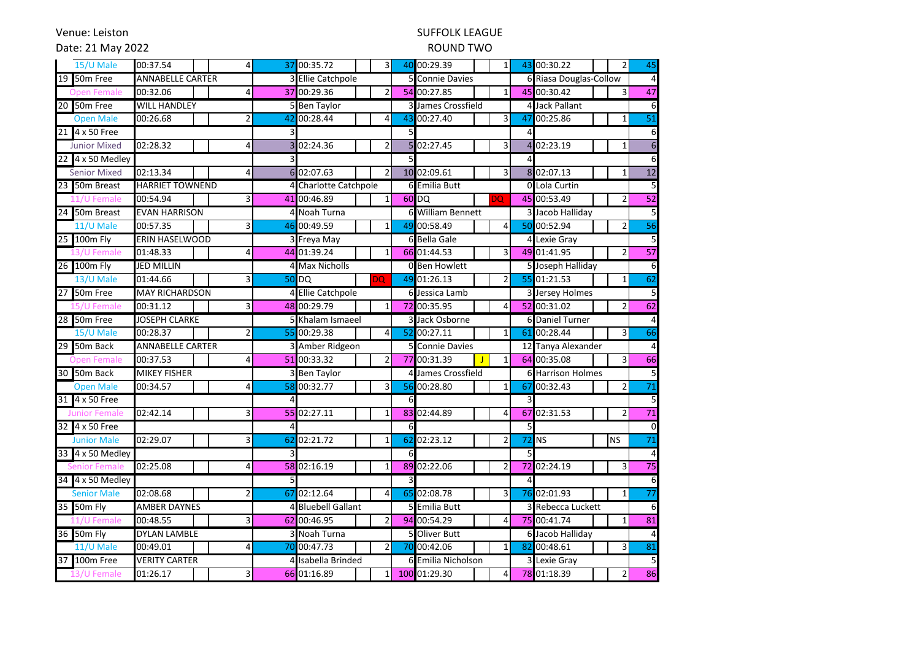Venue: Leiston

## SUFFOLK LEAGUE

### Date: 21 May 2022

#### ROUND TWO

|    | 15/U Male            | 00:37.54<br>$\overline{4}$ |                | 37 00:35.72                | $\overline{3}$ |                  | 40 00:29.39<br>$\mathbf{1}$    |                | 43 00:30.22<br>$\overline{2}$ | 45              |
|----|----------------------|----------------------------|----------------|----------------------------|----------------|------------------|--------------------------------|----------------|-------------------------------|-----------------|
|    | 19 50m Free          | <b>ANNABELLE CARTER</b>    |                | <b>3 Ellie Catchpole</b>   |                |                  | 5 Connie Davies                |                | 6 Riasa Douglas-Collow        |                 |
|    | <b>Open Female</b>   | 00:32.06                   |                | 37 00:29.36                | $\overline{2}$ |                  | 54 00:27.85<br>$\mathbf{1}$    |                | 45 00:30.42<br>3              | 47              |
|    | 20 50m Free          | <b>WILL HANDLEY</b>        |                | 5 Ben Taylor               |                |                  | James Crossfield               |                | 4 Jack Pallant                |                 |
|    | <b>Open Male</b>     | 00:26.68<br>$\overline{2}$ | 42             | 00:28.44                   | 4              | 43               | 3<br>00:27.40                  | 47             | 00:25.86<br>$\mathbf{1}$      | $\overline{51}$ |
|    | 21 4 x 50 Free       |                            | 3              |                            |                | 5                |                                |                |                               |                 |
|    | <b>Junior Mixed</b>  | 02:28.32<br>4              |                | 02:24.36                   | $\overline{2}$ | $\overline{5}$   | $\overline{3}$<br>02:27.45     | $\overline{4}$ | 02:23.19<br>$\mathbf{1}$      |                 |
|    | 22 4 x 50 Medley     |                            |                |                            |                | 5                |                                | $\overline{4}$ |                               |                 |
|    | <b>Senior Mixed</b>  | 02:13.34<br>4              | 6              | 02:07.63                   | $\overline{2}$ |                  | 10 02:09.61<br>3               | 8 <sup>1</sup> | 02:07.13<br>$\mathbf 1$       | $\overline{12}$ |
|    | 23 50m Breast        | <b>HARRIET TOWNEND</b>     |                | Charlotte Catchpole        |                | 6                | <b>Emilia Butt</b>             | $\Omega$       | Lola Curtin                   |                 |
|    | 11/U Female          | 00:54.94<br>3              |                | 41 00:46.89                | $\mathbf{1}$   |                  | 60 DQ<br>DQ                    |                | 45 00:53.49<br>$\overline{2}$ | 52              |
|    | 24 50m Breast        | <b>EVAN HARRISON</b>       | 4              | Noah Turna                 |                | 61               | <b>William Bennett</b>         |                | 3 Jacob Halliday              | 5               |
|    | 11/U Male            | 00:57.35                   | 46             | 00:49.59                   |                | 49               | 00:58.49<br>4                  |                | 50 00:52.94<br>2              | $\overline{56}$ |
|    | 25 100m Fly          | ERIN HASELWOOD             |                | 3 Freya May                |                |                  | 6 Bella Gale                   | $\overline{a}$ | Lexie Gray                    |                 |
|    | 13/U Female          | 01:48.33                   |                | 44 01:39.24                | 1              |                  | 66 01:44.53<br>3               |                | 49 01:41.95<br>$\overline{2}$ | 57              |
|    | 26 100m Fly          | <b>JED MILLIN</b>          |                | 4 Max Nicholls             |                |                  | 0 Ben Howlett                  |                | 5 Joseph Halliday             |                 |
|    | 13/U Male            | 01:44.66<br>3              |                | <b>DQ</b><br><b>50 DQ</b>  |                | 49               | 01:26.13<br>$\overline{2}$     |                | 55 01:21.53<br>$\mathbf{1}$   | 62              |
| 27 | 50m Free             | <b>MAY RICHARDSON</b>      | 4              | <b>Ellie Catchpole</b>     |                |                  | 6 Jessica Lamb                 |                | 3 Jersey Holmes               | 5               |
|    | 15/U Female          | 00:31.12<br>3              |                | 48 00:29.79                | 1              | 72               | 00:35.95<br>$\overline{4}$     |                | 52 00:31.02<br>$\overline{2}$ | 62              |
|    | 28 50m Free          | <b>JOSEPH CLARKE</b>       |                | 5 Khalam Ismaeel           |                |                  | 3 Jack Osborne<br>$6 \mid$     |                | <b>Daniel Turner</b>          |                 |
|    | 15/U Male            | 00:28.37                   | 55             | 00:29.38                   | 4              | 52               | 00:27.11<br>1                  | 61             | 00:28.44<br>3                 | 66              |
|    | 29 50m Back          | <b>ANNABELLE CARTER</b>    |                | 3 Amber Ridgeon            |                | 5                | <b>Connie Davies</b>           |                | 12 Tanya Alexander            |                 |
|    | <b>Open Female</b>   | 00:37.53<br>4              |                | 51 00:33.32                | 2              |                  | 77 00:31.39<br>1               |                | 64 00:35.08<br>$\overline{3}$ | 66              |
|    | 30 50m Back          | <b>MIKEY FISHER</b>        |                | 3 Ben Taylor               |                | $\overline{4}$   | James Crossfield               |                | <b>6</b> Harrison Holmes      |                 |
|    | <b>Open Male</b>     | 00:34.57                   | 58             | 00:32.77                   | 3              | 56               | 00:28.80<br>$\mathbf{1}$       | 67             | 00:32.43<br>$\overline{2}$    | 71              |
|    | 31 4 x 50 Free       |                            |                |                            |                |                  |                                | 3              |                               |                 |
|    | <b>Junior Female</b> | 02:42.14<br>3              |                | 55 02:27.11                | 1              |                  | 83 02:44.89<br>$\overline{4}$  |                | 67 02:31.53<br>$\overline{2}$ | $\overline{71}$ |
|    | 32 4 x 50 Free       |                            | 4              |                            |                | $6 \overline{6}$ |                                | 5              |                               | $\Omega$        |
|    | <b>Junior Male</b>   | 02:29.07<br>3              |                | 62 02:21.72                | $\mathbf{1}$   | 62               | 02:23.12<br>$\overline{2}$     | 72             | <b>NS</b><br>ΝS               | $\overline{71}$ |
|    | 33 4 x 50 Medley     |                            | $\overline{3}$ |                            |                | 6                |                                | 5              |                               |                 |
|    | Senior Female        | 02:25.08<br>4              |                | 58 02:16.19                | 1              | 89               | 02:22.06<br>$\overline{2}$     |                | 72 02:24.19<br>3              | $\overline{75}$ |
|    | 34 4 x 50 Medley     |                            | 5              |                            |                | 3                |                                |                |                               |                 |
|    | <b>Senior Male</b>   | 02:08.68<br>2              | 67             | 02:12.64                   | 4              | 65               | 02:08.78<br>3                  |                | 76 02:01.93<br>1              | $\overline{77}$ |
|    | 35 50m Fly           | <b>AMBER DAYNES</b>        | 4              | <b>Bluebell Gallant</b>    |                |                  | 5 Emilia Butt                  |                | 3 Rebecca Luckett             | 6               |
|    | 11/U Female          | 00:48.55<br>3              |                | 62 00:46.95                |                |                  | 94 00:54.29<br>4               |                | 75 00:41.74<br>$\mathbf{1}$   | 81              |
|    | 36 50m Fly           | <b>DYLAN LAMBLE</b>        |                | 3 Noah Turna               |                | 51               | <b>Oliver Butt</b>             |                | 6 Jacob Halliday              |                 |
|    | 11/U Male            | 00:49.01<br>Δ              | 70             | 00:47.73<br>$\overline{2}$ |                | 70               | 00:42.06<br>$\mathbf{1}$<br>82 |                | 00:48.61<br>3                 | 81              |
|    | 37 100m Free         | <b>VERITY CARTER</b>       |                | 4 Isabella Brinded         |                |                  | 6 Emilia Nicholson             |                | 3 Lexie Gray                  |                 |
|    | 13/U Female          | 01:26.17<br>3              |                | 66 01:16.89                | $1\vert$       |                  | 100 01:29.30<br>$\overline{4}$ |                | 78 01:18.39<br>$\overline{2}$ | 86              |